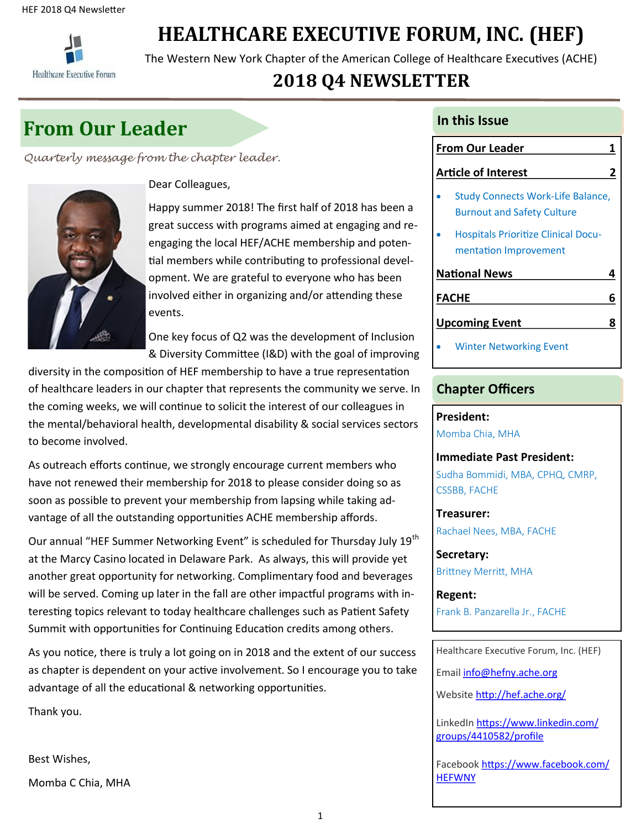

## **HEALTHCARE EXECUTIVE FORUM, INC. (HEF)**

The Western New York Chapter of the American College of Healthcare Executives (ACHE)

## **2018 Q4 NEWSLETTER**

## **In this Issue**

*Quarterly message from the chapter leader.* 



Dear Colleagues,

Happy summer 2018! The first half of 2018 has been a great success with programs aimed at engaging and reengaging the local HEF/ACHE membership and potential members while contributing to professional development. We are grateful to everyone who has been involved either in organizing and/or attending these events.

One key focus of Q2 was the development of Inclusion & Diversity Committee (I&D) with the goal of improving

diversity in the composition of HEF membership to have a true representation of healthcare leaders in our chapter that represents the community we serve. In the coming weeks, we will continue to solicit the interest of our colleagues in the mental/behavioral health, developmental disability & social services sectors to become involved.

As outreach efforts continue, we strongly encourage current members who have not renewed their membership for 2018 to please consider doing so as soon as possible to prevent your membership from lapsing while taking advantage of all the outstanding opportunities ACHE membership affords.

Our annual "HEF Summer Networking Event" is scheduled for Thursday July 19<sup>th</sup> at the Marcy Casino located in Delaware Park. As always, this will provide yet another great opportunity for networking. Complimentary food and beverages will be served. Coming up later in the fall are other impactful programs with interesting topics relevant to today healthcare challenges such as Patient Safety Summit with opportunities for Continuing Education credits among others.

As you notice, there is truly a lot going on in 2018 and the extent of our success as chapter is dependent on your active involvement. So I encourage you to take advantage of all the educational & networking opportunities.

Thank you.

Best Wishes,

Momba C Chia, MHA

### **From Our Leader 11 and 12 and 12 and 13 and 13 and 13 and 13 and 13 and 13 and 13 and 13 and 13 and 13 and 13 and 13 and 13 and 13 and 13 and 13 and 13 and 13 and 13 and 13 and 13 and 13 and 13 and 13 and 13 and 13 and 13**

#### **Article of Interest 2**

- Study Connects Work-Life Balance, Burnout and Safety Culture
- Hospitals Prioritize Clinical Documentation Improvement

## **National News 4 FACHE 6 Upcoming Event** 8

Winter Networking Event

#### **Chapter Officers**

**President:** Momba Chia, MHA

**Immediate Past President:** Sudha Bommidi, MBA, CPHQ, CMRP, CSSBB, FACHE

**Treasurer:** Rachael Nees, MBA, FACHE

**Secretary:** Brittney Merritt, MHA

**Regent:** Frank B. Panzarella Jr., FACHE

Healthcare Executive Forum, Inc. (HEF)

Email [info@hefny.ache.org](mailto:info@hefny.ache.org)

Website <http://hef.ache.org/>

LinkedIn [https://www.linkedin.com/](https://www.linkedin.com/groups/4410582/profile) [groups/4410582/profile](https://www.linkedin.com/groups/4410582/profile)

Facebook [https://www.facebook.com/](https://www.facebook.com/HEFWNY) **[HEFWNY](https://www.facebook.com/HEFWNY)**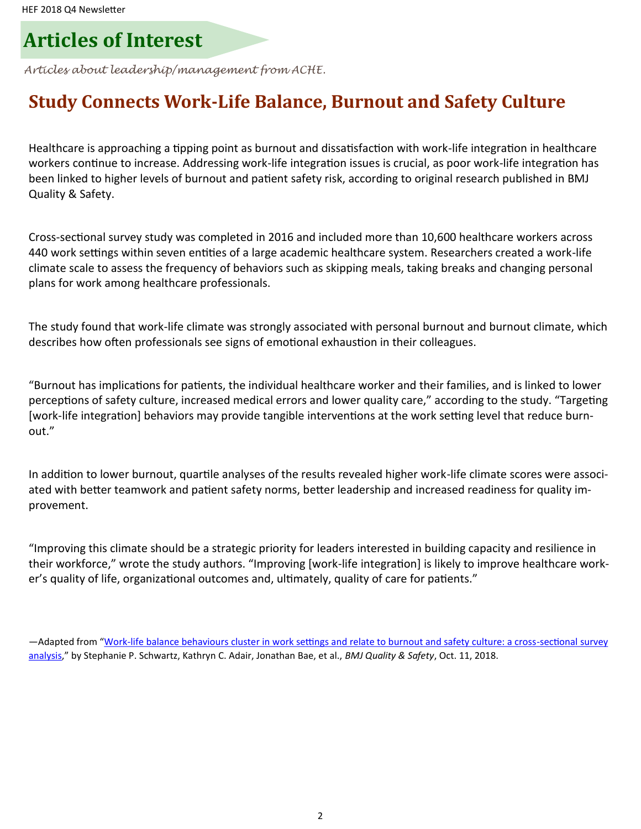## **Articles of Interest**

*Articles about leadership/management from ACHE.* 

## **Study Connects Work-Life Balance, Burnout and Safety Culture**

Healthcare is approaching a tipping point as burnout and dissatisfaction with work-life integration in healthcare workers continue to increase. Addressing work-life integration issues is crucial, as poor work-life integration has been linked to higher levels of burnout and patient safety risk, according to original research published in BMJ Quality & Safety.

Cross-sectional survey study was completed in 2016 and included more than 10,600 healthcare workers across 440 work settings within seven entities of a large academic healthcare system. Researchers created a work-life climate scale to assess the frequency of behaviors such as skipping meals, taking breaks and changing personal plans for work among healthcare professionals.

The study found that work-life climate was strongly associated with personal burnout and burnout climate, which describes how often professionals see signs of emotional exhaustion in their colleagues.

"Burnout has implications for patients, the individual healthcare worker and their families, and is linked to lower perceptions of safety culture, increased medical errors and lower quality care," according to the study. "Targeting [work-life integration] behaviors may provide tangible interventions at the work setting level that reduce burnout."

In addition to lower burnout, quartile analyses of the results revealed higher work-life climate scores were associated with better teamwork and patient safety norms, better leadership and increased readiness for quality improvement.

"Improving this climate should be a strategic priority for leaders interested in building capacity and resilience in their workforce," wrote the study authors. "Improving [work-life integration] is likely to improve healthcare worker's quality of life, organizational outcomes and, ultimately, quality of care for patients."

—Adapted from "Work-[life balance behaviours cluster in work settings and relate to burnout and safety culture: a cross](https://qualitysafety.bmj.com/content/early/2018/10/11/bmjqs-2018-007933)-sectional survey [analysis,"](https://qualitysafety.bmj.com/content/early/2018/10/11/bmjqs-2018-007933) by Stephanie P. Schwartz, Kathryn C. Adair, Jonathan Bae, et al., *BMJ Quality & Safety*, Oct. 11, 2018.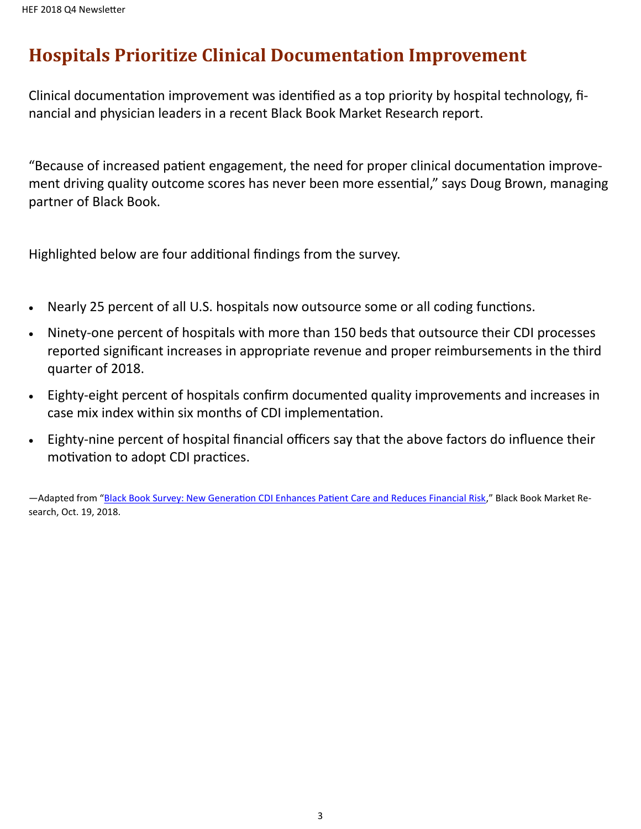## **Hospitals Prioritize Clinical Documentation Improvement**

Clinical documentation improvement was identified as a top priority by hospital technology, financial and physician leaders in a recent Black Book Market Research report.

"Because of increased patient engagement, the need for proper clinical documentation improvement driving quality outcome scores has never been more essential," says Doug Brown, managing partner of Black Book.

Highlighted below are four additional findings from the survey.

- Nearly 25 percent of all U.S. hospitals now outsource some or all coding functions.
- Ninety-one percent of hospitals with more than 150 beds that outsource their CDI processes reported significant increases in appropriate revenue and proper reimbursements in the third quarter of 2018.
- Eighty-eight percent of hospitals confirm documented quality improvements and increases in case mix index within six months of CDI implementation.
- Eighty-nine percent of hospital financial officers say that the above factors do influence their motivation to adopt CDI practices.

—Adapted from "[Black Book Survey: New Generation CDI Enhances Patient Care and Reduces Financial Risk,](https://blackbookmarketresearch.newswire.com/news/black-book-survey-new-generation-cdi-enhances-patient-care-and-reduces-20683840)" Black Book Market Research, Oct. 19, 2018.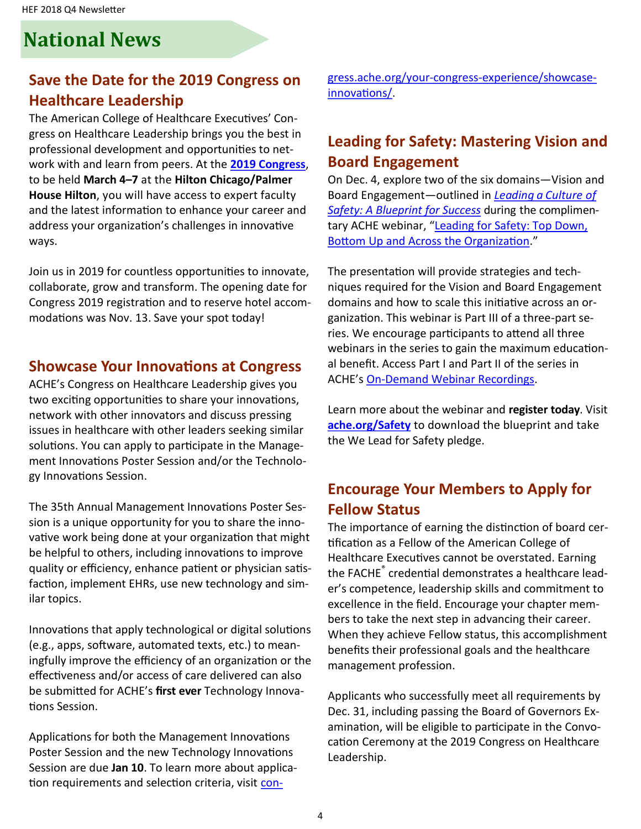## **National News**

## **Save the Date for the 2019 Congress on Healthcare Leadership**

The American College of Healthcare Executives' Congress on Healthcare Leadership brings you the best in professional development and opportunities to network with and learn from peers. At the **[2019 Congress](http://www.ache.org/congress/index.cfm)**, to be held **March 4–7** at the **Hilton Chicago/Palmer House Hilton**, you will have access to expert faculty and the latest information to enhance your career and address your organization's challenges in innovative ways.

Join us in 2019 for countless opportunities to innovate, collaborate, grow and transform. The opening date for Congress 2019 registration and to reserve hotel accommodations was Nov. 13. Save your spot today!

#### **Showcase Your Innovations at Congress**

ACHE's Congress on Healthcare Leadership gives you two exciting opportunities to share your innovations, network with other innovators and discuss pressing issues in healthcare with other leaders seeking similar solutions. You can apply to participate in the Management Innovations Poster Session and/or the Technology Innovations Session.

The 35th Annual Management Innovations Poster Session is a unique opportunity for you to share the innovative work being done at your organization that might be helpful to others, including innovations to improve quality or efficiency, enhance patient or physician satisfaction, implement EHRs, use new technology and similar topics.

Innovations that apply technological or digital solutions (e.g., apps, software, automated texts, etc.) to meaningfully improve the efficiency of an organization or the effectiveness and/or access of care delivered can also be submitted for ACHE's **first ever** Technology Innovations Session.

Applications for both the Management Innovations Poster Session and the new Technology Innovations Session are due **Jan 10**. To learn more about application requirements and selection criteria, visit [con-](https://congress.ache.org/your-congress-experience/showcase-innovations/) gress.ache.org/your-congress-[experience/showcase](https://congress.ache.org/your-congress-experience/showcase-innovations/)[innovations/.](https://congress.ache.org/your-congress-experience/showcase-innovations/) 

## **Leading for Safety: Mastering Vision and Board Engagement**

On Dec. 4, explore two of the six domains—Vision and Board Engagement—outlined in *[Leading a Culture of](http://safety.ache.org/blueprint/)  [Safety: A Blueprint for Success](http://safety.ache.org/blueprint/)* during the complimentary ACHE webinar, "Leading for Safety: Top Down, [Bottom Up and Across the Organization.](http://www.ache.org/Events/webinar_detail.aspx?evt_code=WEB12418)"

The presentation will provide strategies and techniques required for the Vision and Board Engagement domains and how to scale this initiative across an organization. This webinar is Part III of a three-part series. We encourage participants to attend all three webinars in the series to gain the maximum educational benefit. Access Part I and Part II of the series in ACHE's On-[Demand Webinar Recordings.](http://www.ache.org/Events/AudioCD.aspx)

Learn more about the webinar and **register today**. Visit **[ache.org/Safety](http://safety.ache.org/)** to download the blueprint and take the We Lead for Safety pledge.

### **Encourage Your Members to Apply for Fellow Status**

The importance of earning the distinction of board certification as a Fellow of the American College of Healthcare Executives cannot be overstated. Earning the FACHE® credential demonstrates a healthcare leader's competence, leadership skills and commitment to excellence in the field. Encourage your chapter members to take the next step in advancing their career. When they achieve Fellow status, this accomplishment benefits their professional goals and the healthcare management profession.

Applicants who successfully meet all requirements by Dec. 31, including passing the Board of Governors Examination, will be eligible to participate in the Convocation Ceremony at the 2019 Congress on Healthcare Leadership.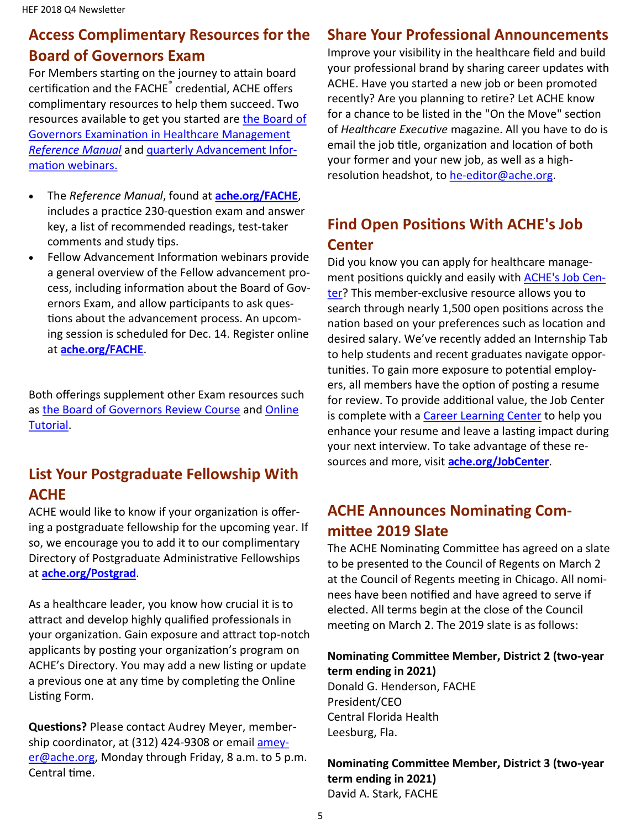## **Access Complimentary Resources for the Board of Governors Exam**

For Members starting on the journey to attain board certification and the FACHE<sup>®</sup> credential, ACHE offers complimentary resources to help them succeed. Two resources available to get you started are the Board of [Governors Examination in Healthcare Management](http://www.ache.org/mbership/credentialing/EXAM/referencemanual.cfm)  *[Reference Manual](http://www.ache.org/mbership/credentialing/EXAM/referencemanual.cfm)* and [quarterly Advancement Infor](http://www.ache.org/mbership/credentialing/fellowadvance.cfm)[mation webinars.](http://www.ache.org/mbership/credentialing/fellowadvance.cfm)

- The *Reference Manual*, found at **[ache.org/FACHE](http://www.ache.org/FACHE)**, includes a practice 230-question exam and answer key, a list of recommended readings, test-taker comments and study tips.
- Fellow Advancement Information webinars provide a general overview of the Fellow advancement process, including information about the Board of Governors Exam, and allow participants to ask questions about the advancement process. An upcoming session is scheduled for Dec. 14. Register online at **[ache.org/FACHE](http://www.ache.org/FACHE)**.

Both offerings supplement other Exam resources such as [the Board of Governors Review Course](http://www.ache.org/seminars/special/index.cfm?meet=BOGER13B&nav=1&subnav=4) and [Online](http://www.ache.org/mbership/credentialing/EXAM/OnlineTutorial/OnLineTutorial.cfm)  [Tutorial.](http://www.ache.org/mbership/credentialing/EXAM/OnlineTutorial/OnLineTutorial.cfm)

### **List Your Postgraduate Fellowship With ACHE**

ACHE would like to know if your organization is offering a postgraduate fellowship for the upcoming year. If so, we encourage you to add it to our complimentary Directory of Postgraduate Administrative Fellowships at **[ache.org/Postgrad](file://///FS1.ache.com/O_DRIVE/Membership/National%20News%20DoM%20items/ache.org/Postgrad)**.

As a healthcare leader, you know how crucial it is to attract and develop highly qualified professionals in your organization. Gain exposure and attract top-notch applicants by posting your organization's program on ACHE's Directory. You may add a new listing or update a previous one at any time by completing the Online Listing Form.

**Questions?** Please contact Audrey Meyer, membership coordinator, at (312) 424-9308 or email [amey](mailto:ameyer@ache.org)[er@ache.org,](mailto:ameyer@ache.org) Monday through Friday, 8 a.m. to 5 p.m. Central time.

### **Share Your Professional Announcements**

Improve your visibility in the healthcare field and build your professional brand by sharing career updates with ACHE. Have you started a new job or been promoted recently? Are you planning to retire? Let ACHE know for a chance to be listed in the "On the Move" section of *Healthcare Executive* magazine. All you have to do is email the job title, organization and location of both your former and your new job, as well as a highresolution headshot, to he-[editor@ache.org.](mailto:he-editor@ache.org)

## **Find Open Positions With ACHE's Job Center**

Did you know you can apply for healthcare management positions quickly and easily with [ACHE's Job Cen](http://www.ache.org/jobcenter)[ter?](http://www.ache.org/jobcenter) This member-exclusive resource allows you to search through nearly 1,500 open positions across the nation based on your preferences such as location and desired salary. We've recently added an Internship Tab to help students and recent graduates navigate opportunities. To gain more exposure to potential employers, all members have the option of posting a resume for review. To provide additional value, the Job Center is complete with a [Career Learning Center](https://careers.ache.org/jobseekers/resources/blueskyLMS/index.cfm) to help you enhance your resume and leave a lasting impact during your next interview. To take advantage of these resources and more, visit **[ache.org/JobCenter](http://www.ache.org/jobcenter)**.

## **ACHE Announces Nominating Committee 2019 Slate**

The ACHE Nominating Committee has agreed on a slate to be presented to the Council of Regents on March 2 at the Council of Regents meeting in Chicago. All nominees have been notified and have agreed to serve if elected. All terms begin at the close of the Council meeting on March 2. The 2019 slate is as follows:

#### **Nominating Committee Member, District 2 (two-year term ending in 2021)**

Donald G. Henderson, FACHE President/CEO Central Florida Health Leesburg, Fla.

#### **Nominating Committee Member, District 3 (two-year term ending in 2021)** David A. Stark, FACHE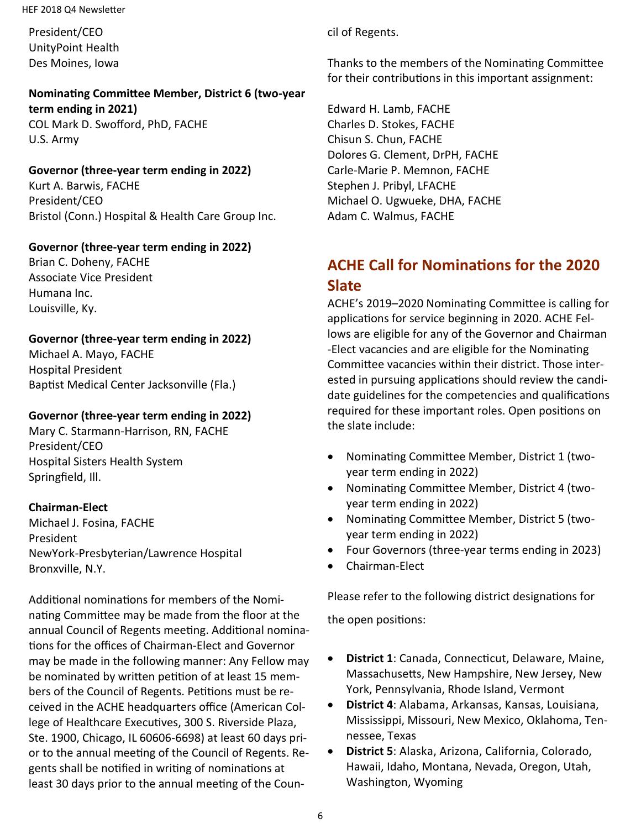#### HEF 2018 Q4 Newsletter

President/CEO UnityPoint Health Des Moines, Iowa

#### **Nominating Committee Member, District 6 (two-year term ending in 2021)** COL Mark D. Swofford, PhD, FACHE U.S. Army

## **Governor (three-year term ending in 2022)**

Kurt A. Barwis, FACHE President/CEO Bristol (Conn.) Hospital & Health Care Group Inc.

#### **Governor (three-year term ending in 2022)**

Brian C. Doheny, FACHE Associate Vice President Humana Inc. Louisville, Ky.

#### **Governor (three-year term ending in 2022)**

Michael A. Mayo, FACHE Hospital President Baptist Medical Center Jacksonville (Fla.)

#### **Governor (three-year term ending in 2022)**

Mary C. Starmann-Harrison, RN, FACHE President/CEO Hospital Sisters Health System Springfield, Ill.

#### **Chairman-Elect**

Michael J. Fosina, FACHE President NewYork-Presbyterian/Lawrence Hospital Bronxville, N.Y.

Additional nominations for members of the Nominating Committee may be made from the floor at the annual Council of Regents meeting. Additional nominations for the offices of Chairman-Elect and Governor may be made in the following manner: Any Fellow may be nominated by written petition of at least 15 members of the Council of Regents. Petitions must be received in the ACHE headquarters office (American College of Healthcare Executives, 300 S. Riverside Plaza, Ste. 1900, Chicago, IL 60606-6698) at least 60 days prior to the annual meeting of the Council of Regents. Regents shall be notified in writing of nominations at least 30 days prior to the annual meeting of the Council of Regents.

Thanks to the members of the Nominating Committee for their contributions in this important assignment:

Edward H. Lamb, FACHE Charles D. Stokes, FACHE Chisun S. Chun, FACHE Dolores G. Clement, DrPH, FACHE Carle-Marie P. Memnon, FACHE Stephen J. Pribyl, LFACHE Michael O. Ugwueke, DHA, FACHE Adam C. Walmus, FACHE

## **ACHE Call for Nominations for the 2020 Slate**

ACHE's 2019–2020 Nominating Committee is calling for applications for service beginning in 2020. ACHE Fellows are eligible for any of the Governor and Chairman -Elect vacancies and are eligible for the Nominating Committee vacancies within their district. Those interested in pursuing applications should review the candidate guidelines for the competencies and qualifications required for these important roles. Open positions on the slate include:

- Nominating Committee Member, District 1 (twoyear term ending in 2022)
- Nominating Committee Member, District 4 (twoyear term ending in 2022)
- Nominating Committee Member, District 5 (twoyear term ending in 2022)
- Four Governors (three-year terms ending in 2023)
- Chairman-Elect

Please refer to the following district designations for

the open positions:

- **District 1**: Canada, Connecticut, Delaware, Maine, Massachusetts, New Hampshire, New Jersey, New York, Pennsylvania, Rhode Island, Vermont
- **District 4**: Alabama, Arkansas, Kansas, Louisiana, Mississippi, Missouri, New Mexico, Oklahoma, Tennessee, Texas
- **District 5**: Alaska, Arizona, California, Colorado, Hawaii, Idaho, Montana, Nevada, Oregon, Utah, Washington, Wyoming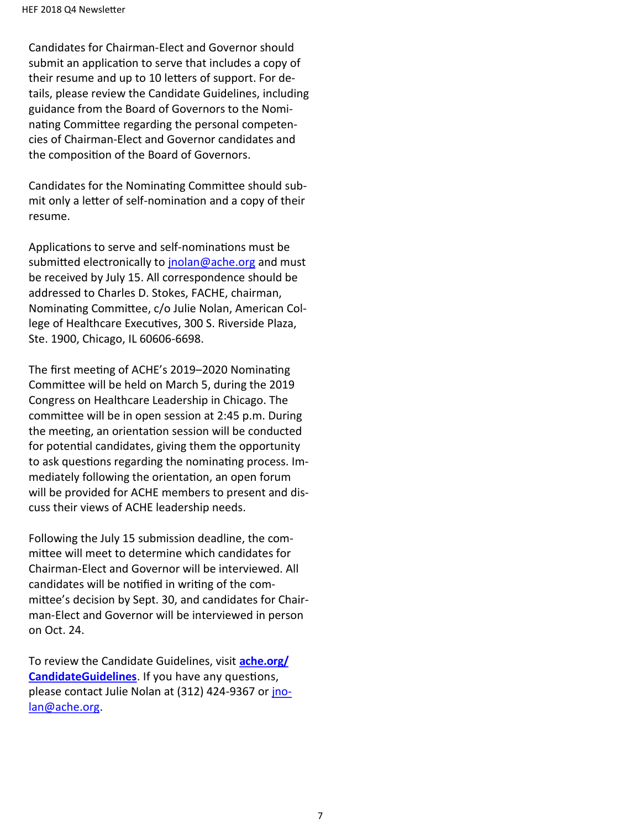Candidates for Chairman-Elect and Governor should submit an application to serve that includes a copy of their resume and up to 10 letters of support. For details, please review the Candidate Guidelines, including guidance from the Board of Governors to the Nominating Committee regarding the personal competencies of Chairman-Elect and Governor candidates and the composition of the Board of Governors.

Candidates for the Nominating Committee should submit only a letter of self-nomination and a copy of their resume.

Applications to serve and self-nominations must be submitted electronically to [jnolan@ache.org](file:///C:/Users/Ju32613/AppData/Local/Microsoft/Windows/Temporary%20Internet%20Files/Content.IE5/X4FSMEY7/jnolan@ache.org) and must be received by July 15. All correspondence should be addressed to Charles D. Stokes, FACHE, chairman, Nominating Committee, c/o Julie Nolan, American College of Healthcare Executives, 300 S. Riverside Plaza, Ste. 1900, Chicago, IL 60606-6698.

The first meeting of ACHE's 2019–2020 Nominating Committee will be held on March 5, during the 2019 Congress on Healthcare Leadership in Chicago. The committee will be in open session at 2:45 p.m. During the meeting, an orientation session will be conducted for potential candidates, giving them the opportunity to ask questions regarding the nominating process. Immediately following the orientation, an open forum will be provided for ACHE members to present and discuss their views of ACHE leadership needs.

Following the July 15 submission deadline, the committee will meet to determine which candidates for Chairman-Elect and Governor will be interviewed. All candidates will be notified in writing of the committee's decision by Sept. 30, and candidates for Chairman-Elect and Governor will be interviewed in person on Oct. 24.

To review the Candidate Guidelines, visit **[ache.org/](file:///C:/Users/Ju32613/AppData/Local/Microsoft/Windows/Temporary%20Internet%20Files/Content.IE5/X4FSMEY7/ache.org/CandidateGuidelines) [CandidateGuidelines](file:///C:/Users/Ju32613/AppData/Local/Microsoft/Windows/Temporary%20Internet%20Files/Content.IE5/X4FSMEY7/ache.org/CandidateGuidelines)**. If you have any questions, please contact Julie Nolan at (312) 424-9367 or *[jno](file:///C:/Users/Ju32613/AppData/Local/Microsoft/Windows/Temporary%20Internet%20Files/Content.IE5/X4FSMEY7/jnolan@ache.org)*[lan@ache.org.](file:///C:/Users/Ju32613/AppData/Local/Microsoft/Windows/Temporary%20Internet%20Files/Content.IE5/X4FSMEY7/jnolan@ache.org)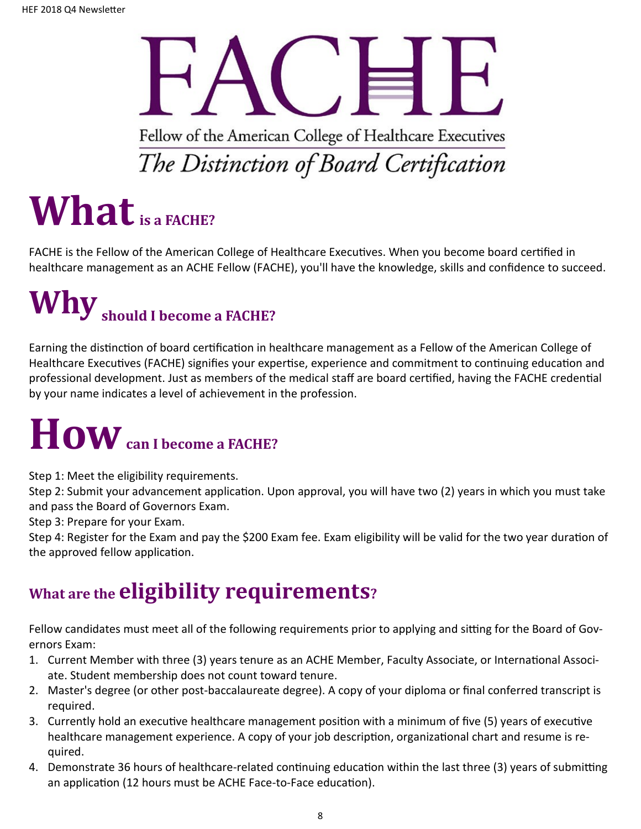Fellow of the American College of Healthcare Executives The Distinction of Board Certification

## **Whatis a FACHE?**

FACHE is the Fellow of the American College of Healthcare Executives. When you become board certified in healthcare management as an ACHE Fellow (FACHE), you'll have the knowledge, skills and confidence to succeed.

## **Whyshould I become a FACHE?**

Earning the distinction of board certification in healthcare management as a Fellow of the American College of Healthcare Executives (FACHE) signifies your expertise, experience and commitment to continuing education and professional development. Just as members of the medical staff are board certified, having the FACHE credential by your name indicates a level of achievement in the profession.

## **Howcan I become a FACHE?**

Step 1: Meet the eligibility requirements.

Step 2: Submit your advancement application. Upon approval, you will have two (2) years in which you must take and pass the Board of Governors Exam.

Step 3: Prepare for your Exam.

Step 4: Register for the Exam and pay the \$200 Exam fee. Exam eligibility will be valid for the two year duration of the approved fellow application.

## **What are the eligibility requirements?**

Fellow candidates must meet all of the following requirements prior to applying and sitting for the Board of Governors Exam:

- 1. Current Member with three (3) years tenure as an ACHE Member, Faculty Associate, or International Associate. Student membership does not count toward tenure.
- 2. Master's degree (or other post-baccalaureate degree). A copy of your diploma or final conferred transcript is required.
- 3. Currently hold an executive healthcare management position with a minimum of five (5) years of executive healthcare management experience. A copy of your job description, organizational chart and resume is required.
- 4. Demonstrate 36 hours of healthcare-related continuing education within the last three (3) years of submitting an application (12 hours must be ACHE Face-to-Face education).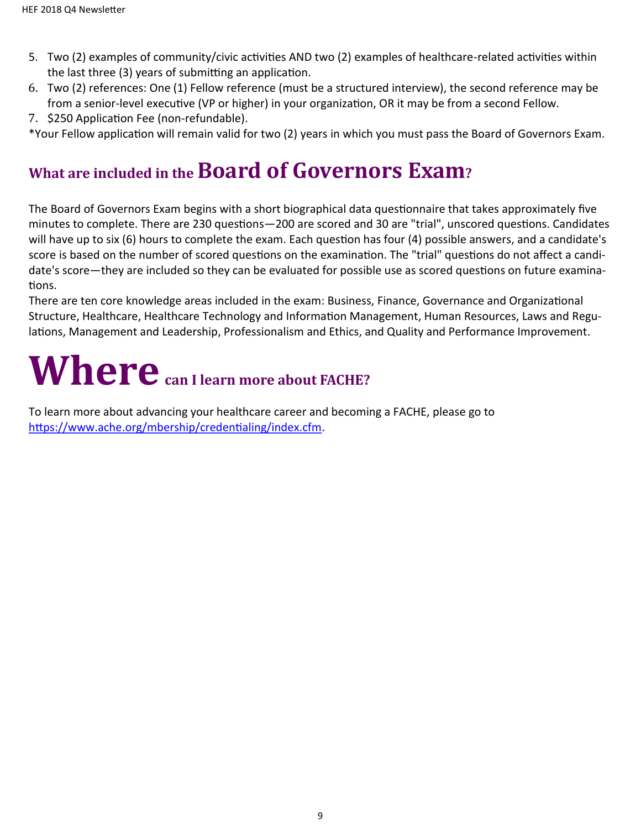- 5. Two (2) examples of community/civic activities AND two (2) examples of healthcare-related activities within the last three (3) years of submitting an application.
- 6. Two (2) references: One (1) Fellow reference (must be a structured interview), the second reference may be from a senior-level executive (VP or higher) in your organization, OR it may be from a second Fellow.
- 7. \$250 Application Fee (non-refundable).

\*Your Fellow application will remain valid for two (2) years in which you must pass the Board of Governors Exam.

## **What are included in the Board of Governors Exam?**

The Board of Governors Exam begins with a short biographical data questionnaire that takes approximately five minutes to complete. There are 230 questions—200 are scored and 30 are "trial", unscored questions. Candidates will have up to six (6) hours to complete the exam. Each question has four (4) possible answers, and a candidate's score is based on the number of scored questions on the examination. The "trial" questions do not affect a candidate's score—they are included so they can be evaluated for possible use as scored questions on future examinations.

There are ten core knowledge areas included in the exam: Business, Finance, Governance and Organizational Structure, Healthcare, Healthcare Technology and Information Management, Human Resources, Laws and Regulations, Management and Leadership, Professionalism and Ethics, and Quality and Performance Improvement.

## Where  $_{\text{can I learn more about FACTE?}}$

To learn more about advancing your healthcare career and becoming a FACHE, please go to [https://www.ache.org/mbership/credentialing/index.cfm.](https://www.ache.org/mbership/credentialing/index.cfm)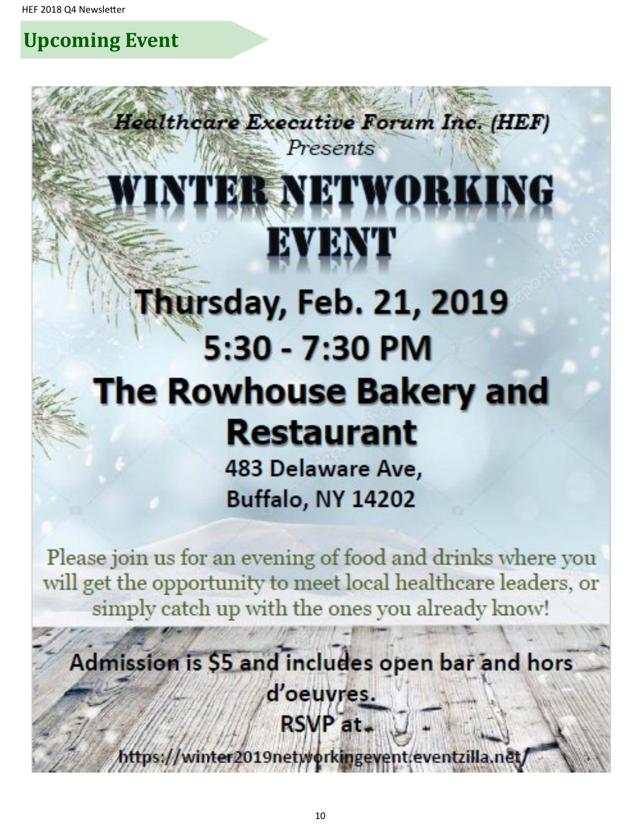**Upcoming Event**

# WINTER NETWORKING EVENT

**Healthcare Executive Forum Inc. (HEF)** 

Presents

## Thursday, Feb. 21, 2019 5:30 - 7:30 PM **The Rowhouse Bakery and Restaurant** 483 Delaware Ave,

**Buffalo, NY 14202** 

Please join us for an evening of food and drinks where you will get the opportunity to meet local healthcare leaders, or simply catch up with the ones you already know!

## Admission is \$5 and includes open bar and hors d'oeuvres. RSVP at.

https://winter2019networkingevent/eventzilla.net